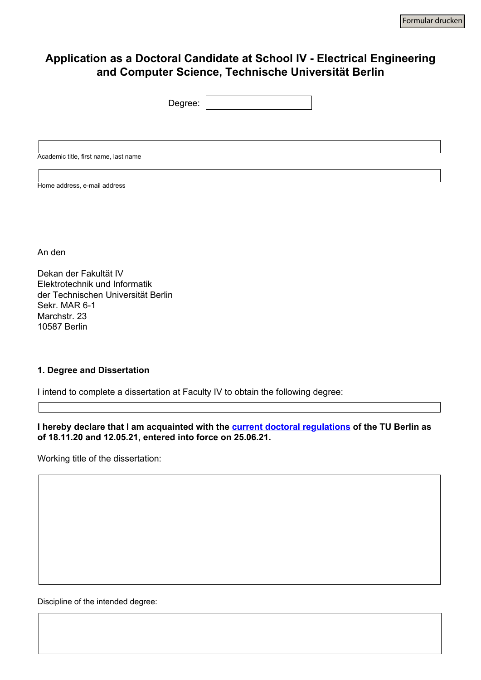# **Application as a Doctoral Candidate at School IV - Electrical Engineering and Computer Science, Technische Universität Berlin**

| Degree:                               |  |
|---------------------------------------|--|
|                                       |  |
|                                       |  |
|                                       |  |
| Academic title, first name, last name |  |
|                                       |  |
| Home address, e-mail address          |  |

An den

Dekan der Fakultät IV Elektrotechnik und Informatik der Technischen Universität Berlin Sekr. MAR 6-1 Marchstr. 23 10587 Berlin

#### **1. Degree and Dissertation**

I intend to complete a dissertation at Faculty IV to obtain the following degree:

 $\overline{\mathbf{r}}$ 

**I hereby declare that I am acquainted with the current doctoral regulations of the TU Berlin as of 18.11.20 and 12.05.21, entered into force on 25.06.21.** 

Working title of the dissertation:

Discipline of the intended degree: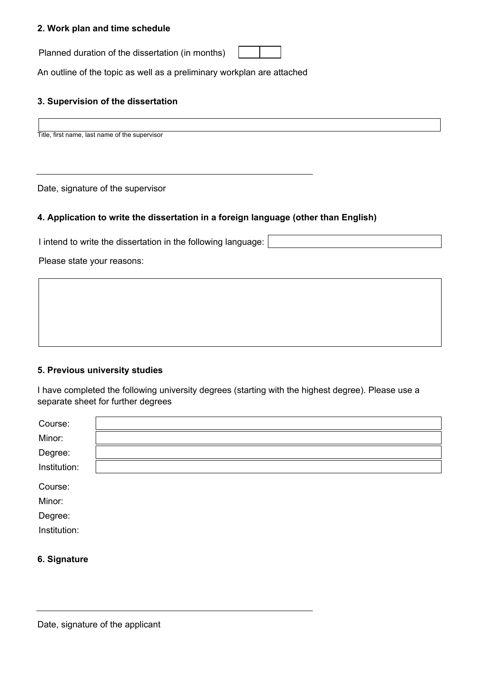## **2. Work plan and time schedule**

Planned duration of the dissertation (in months)

An outline of the topic as well as a preliminary workplan are attached

### **3. Supervision of the dissertation**

Title, first name, last name of the supervisor

Date, signature of the supervisor

#### **4. Application to write the dissertation in a foreign language (other than English)**

I intend to write the dissertation in the following language:

Please state your reasons:

#### **5. Previous university studies**

I have completed the following university degrees (starting with the highest degree). Please use a separate sheet for further degrees

| Course:      |  |
|--------------|--|
| Minor:       |  |
| Degree:      |  |
| Institution: |  |
| Course:      |  |
| Minor:       |  |
| Degree:      |  |
| Institution: |  |
|              |  |

#### **6. Signature**